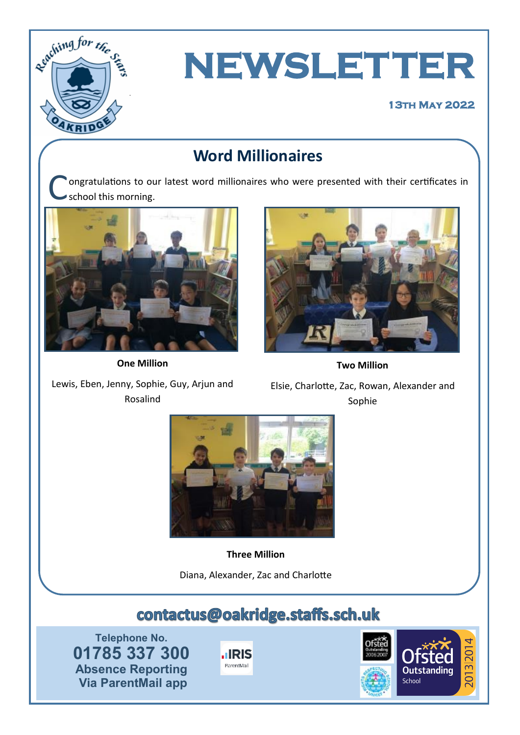

# **NEWSLETTER**

#### **13th May 2022**

# **Word Millionaires**

C ongratulations to our latest word millionaires who were presented with their certificates in school this morning.



**One Million**



**Two Million**

Lewis, Eben, Jenny, Sophie, Guy, Arjun and Rosalind

Elsie, Charlotte, Zac, Rowan, Alexander and Sophie



**Three Million**

Diana, Alexander, Zac and Charlotte

# contactus@oakridge.staffs.sch.uk

**Telephone No. 01785 337 300 Absence Reporting Via ParentMail app**



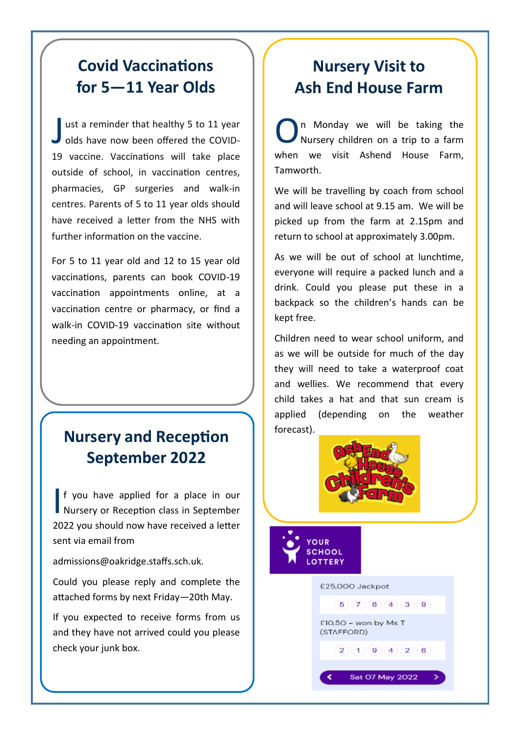# **Covid Vaccinations for 5—11 Year Olds**

J ust a reminder that healthy 5 to 11 year<br>olds have now been offered the COVIDust a reminder that healthy 5 to 11 year 19 vaccine. Vaccinations will take place outside of school, in vaccination centres, pharmacies, GP surgeries and walk-in centres. Parents of 5 to 11 year olds should have received a letter from the NHS with further information on the vaccine.

For 5 to 11 year old and 12 to 15 year old vaccinations, parents can [book COVID](https://www.nhs.uk/conditions/coronavirus-covid-19/coronavirus-vaccination/book-coronavirus-vaccination/?utm_source=29%20March%202022%20C19&utm_medium=Daily%20Email%20C19&utm_campaign=DfE%20C19)-19 [vaccination appointments online,](https://www.nhs.uk/conditions/coronavirus-covid-19/coronavirus-vaccination/book-coronavirus-vaccination/?utm_source=29%20March%202022%20C19&utm_medium=Daily%20Email%20C19&utm_campaign=DfE%20C19) at a vaccination centre or pharmacy, or [find a](https://www.nhs.uk/conditions/coronavirus-covid-19/coronavirus-vaccination/find-a-walk-in-coronavirus-covid-19-vaccination-site/?utm_source=29%20March%202022%20C19&utm_medium=Daily%20Email%20C19&utm_campaign=DfE%20C19)  walk-in COVID-[19 vaccination site w](https://www.nhs.uk/conditions/coronavirus-covid-19/coronavirus-vaccination/find-a-walk-in-coronavirus-covid-19-vaccination-site/?utm_source=29%20March%202022%20C19&utm_medium=Daily%20Email%20C19&utm_campaign=DfE%20C19)ithout needing an appointment.

# **Nursery and Reception September 2022**

If you have applied for a place in our<br>Nursery or Reception class in September f you have applied for a place in our 2022 you should now have received a letter sent via email from

admissions@oakridge.staffs.sch.uk.

Could you please reply and complete the attached forms by next Friday—20th May.

If you expected to receive forms from us and they have not arrived could you please check your junk box.

# **Nursery Visit to Ash End House Farm**

O n Monday we will be taking the Nursery children on a trip to a farm when we visit Ashend House Farm, Tamworth.

We will be travelling by coach from school and will leave school at 9.15 am. We will be picked up from the farm at 2.15pm and return to school at approximately 3.00pm.

As we will be out of school at lunchtime, everyone will require a packed lunch and a drink. Could you please put these in a backpack so the children's hands can be kept free.

Children need to wear school uniform, and as we will be outside for much of the day they will need to take a waterproof coat and wellies. We recommend that every child takes a hat and that sun cream is applied (depending on the weather forecast).



£25,000 Jackpot

(STAFFORD)

£10.50 - won by Ms T

 $5)(7)(6)(4)(3)(9)$ 

 $2)(1)(9)(4)(2)(6)$ 

Sat 07 May 2022

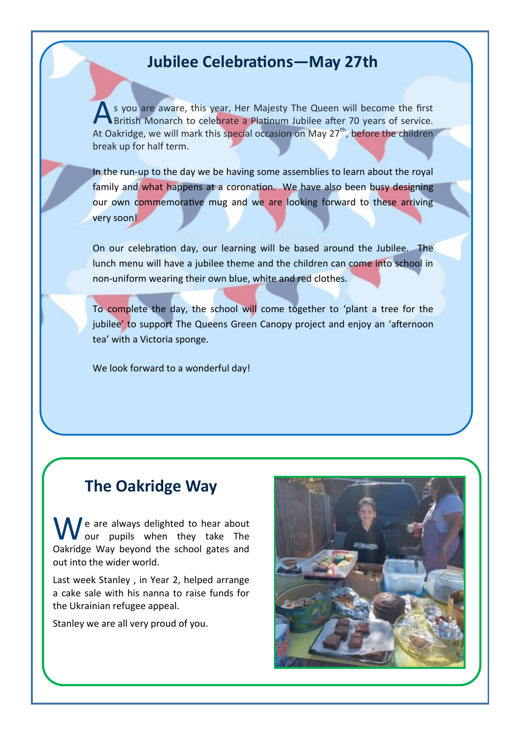#### **Jubilee Celebrations—May 27th**

A s you are aware, this year, Her Majesty The Queen will become the first British Monarch to celebrate a Platinum Jubilee after 70 years of service. At Oakridge, we will mark this special occasion on May 27<sup>th</sup>, before the children break up for half term.

In the run-up to the day we be having some assemblies to learn about the royal family and what happens at a coronation. We have also been busy designing our own commemorative mug and we are looking forward to these arriving very soon!

On our celebration day, our learning will be based around the Jubilee. The lunch menu will have a jubilee theme and the children can come into school in non-uniform wearing their own blue, white and red clothes.

To complete the day, the school will come together to 'plant a tree for the jubilee' to support The Queens Green Canopy project and enjoy an 'afternoon tea' with a Victoria sponge.

We look forward to a wonderful day!

### **The Oakridge Way**

e are always delighted to hear about our pupils when they take The Oakridge Way beyond the school gates and out into the wider world.

Last week Stanley , in Year 2, helped arrange a cake sale with his nanna to raise funds for the Ukrainian refugee appeal.

Stanley we are all very proud of you.

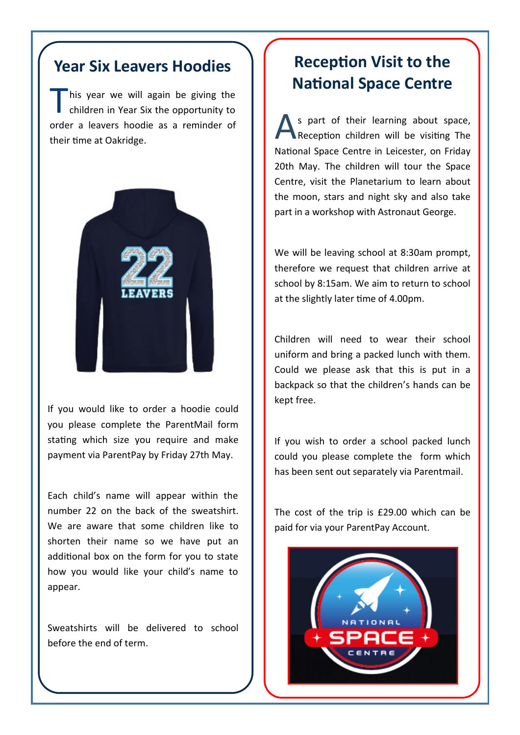### **Year Six Leavers Hoodies**

T his year we will again be giving the children in Year Six the opportunity to order a leavers hoodie as a reminder of their time at Oakridge.



If you would like to order a hoodie could you please complete the ParentMail form stating which size you require and make payment via ParentPay by Friday 27th May.

Each child's name will appear within the number 22 on the back of the sweatshirt. We are aware that some children like to shorten their name so we have put an additional box on the form for you to state how you would like your child's name to appear.

Sweatshirts will be delivered to school before the end of term.

## **Reception Visit to the National Space Centre**

A s part of their learning about space, Reception children will be visiting The National Space Centre in Leicester, on Friday 20th May. The children will tour the Space Centre, visit the Planetarium to learn about the moon, stars and night sky and also take part in a workshop with Astronaut George.

We will be leaving school at 8:30am prompt, therefore we request that children arrive at school by 8:15am. We aim to return to school at the slightly later time of 4.00pm.

Children will need to wear their school uniform and bring a packed lunch with them. Could we please ask that this is put in a backpack so that the children's hands can be kept free.

If you wish to order a school packed lunch could you please complete the form which has been sent out separately via Parentmail.

The cost of the trip is £29.00 which can be paid for via your ParentPay Account.